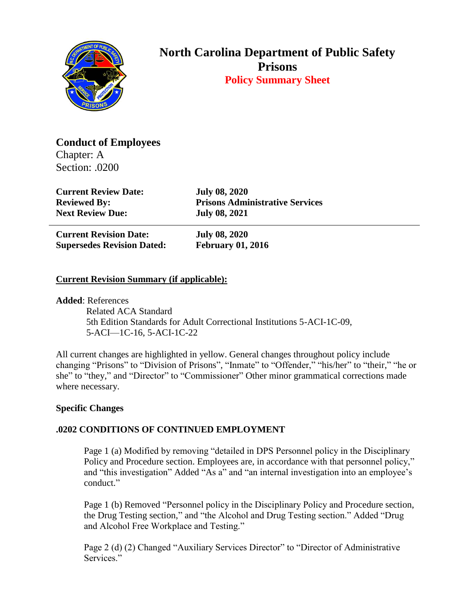

# **North Carolina Department of Public Safety Prisons Policy Summary Sheet**

**Conduct of Employees**

Chapter: A Section: .0200

**Current Review Date: July 08, 2020 Next Review Due: July 08, 2021**

**Reviewed By: Prisons Administrative Services**

**Current Revision Date: July 08, 2020 Supersedes Revision Dated: February 01, 2016**

## **Current Revision Summary (if applicable):**

**Added**: References

 Related ACA Standard 5th Edition Standards for Adult Correctional Institutions 5-ACI-1C-09, 5-ACI—1C-16, 5-ACI-1C-22

All current changes are highlighted in yellow. General changes throughout policy include changing "Prisons" to "Division of Prisons", "Inmate" to "Offender," "his/her" to "their," "he or she" to "they," and "Director" to "Commissioner" Other minor grammatical corrections made where necessary.

## **Specific Changes**

## **.0202 CONDITIONS OF CONTINUED EMPLOYMENT**

Page 1 (a) Modified by removing "detailed in DPS Personnel policy in the Disciplinary Policy and Procedure section. Employees are, in accordance with that personnel policy," and "this investigation" Added "As a" and "an internal investigation into an employee's conduct."

Page 1 (b) Removed "Personnel policy in the Disciplinary Policy and Procedure section, the Drug Testing section," and "the Alcohol and Drug Testing section." Added "Drug and Alcohol Free Workplace and Testing."

Page 2 (d) (2) Changed "Auxiliary Services Director" to "Director of Administrative Services."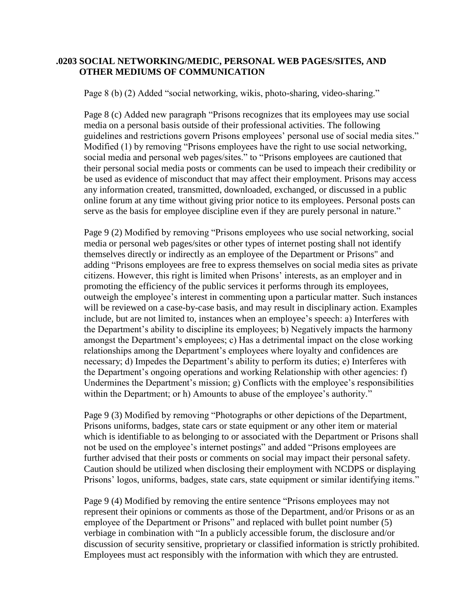### **.0203 SOCIAL NETWORKING/MEDIC, PERSONAL WEB PAGES/SITES, AND OTHER MEDIUMS OF COMMUNICATION**

Page 8 (b) (2) Added "social networking, wikis, photo-sharing, video-sharing."

Page 8 (c) Added new paragraph "Prisons recognizes that its employees may use social media on a personal basis outside of their professional activities. The following guidelines and restrictions govern Prisons employees' personal use of social media sites." Modified (1) by removing "Prisons employees have the right to use social networking, social media and personal web pages/sites." to "Prisons employees are cautioned that their personal social media posts or comments can be used to impeach their credibility or be used as evidence of misconduct that may affect their employment. Prisons may access any information created, transmitted, downloaded, exchanged, or discussed in a public online forum at any time without giving prior notice to its employees. Personal posts can serve as the basis for employee discipline even if they are purely personal in nature."

Page 9 (2) Modified by removing "Prisons employees who use social networking, social media or personal web pages/sites or other types of internet posting shall not identify themselves directly or indirectly as an employee of the Department or Prisons" and adding "Prisons employees are free to express themselves on social media sites as private citizens. However, this right is limited when Prisons' interests, as an employer and in promoting the efficiency of the public services it performs through its employees, outweigh the employee's interest in commenting upon a particular matter. Such instances will be reviewed on a case-by-case basis, and may result in disciplinary action. Examples include, but are not limited to, instances when an employee's speech: a) Interferes with the Department's ability to discipline its employees; b) Negatively impacts the harmony amongst the Department's employees; c) Has a detrimental impact on the close working relationships among the Department's employees where loyalty and confidences are necessary; d) Impedes the Department's ability to perform its duties; e) Interferes with the Department's ongoing operations and working Relationship with other agencies: f) Undermines the Department's mission; g) Conflicts with the employee's responsibilities within the Department; or h) Amounts to abuse of the employee's authority."

Page 9 (3) Modified by removing "Photographs or other depictions of the Department, Prisons uniforms, badges, state cars or state equipment or any other item or material which is identifiable to as belonging to or associated with the Department or Prisons shall not be used on the employee's internet postings" and added "Prisons employees are further advised that their posts or comments on social may impact their personal safety. Caution should be utilized when disclosing their employment with NCDPS or displaying Prisons' logos, uniforms, badges, state cars, state equipment or similar identifying items."

Page 9 (4) Modified by removing the entire sentence "Prisons employees may not represent their opinions or comments as those of the Department, and/or Prisons or as an employee of the Department or Prisons" and replaced with bullet point number (5) verbiage in combination with "In a publicly accessible forum, the disclosure and/or discussion of security sensitive, proprietary or classified information is strictly prohibited. Employees must act responsibly with the information with which they are entrusted.